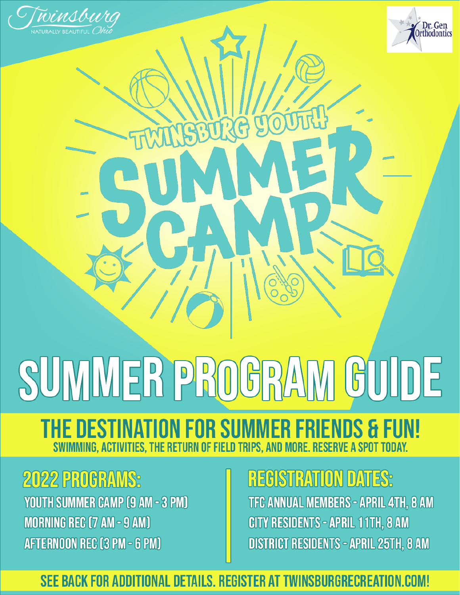

# SUMMER PROGRA GUIDE

### **THE DESTINATION FOR SUMMER FRIENDS & FUN!** SWIMMING, ACTIVITIES, THE RETURN OF FIELD TRIPS, AND

# **2022 PROGRAMS:**

YOUTH SUMMER CAMP (9 AM - 3 PM) **MORNING REC (7 AM - 9 AM)** AFTERNOON REC (3 PM - 6 PM)

### **REGISTRATION DATES:**

TFC ANNUAL MEMBERS - APRIL 4TH, 8 AM CITY RESIDENTS - APRIL 11TH, 8 AM **DISTRICT RESIDENTS - APRIL 25TH, 8 AM** 

SEE BACK FOR ADDITIONAL DETAILS. REGISTER AT TWINSBURGRECREATION.COM!